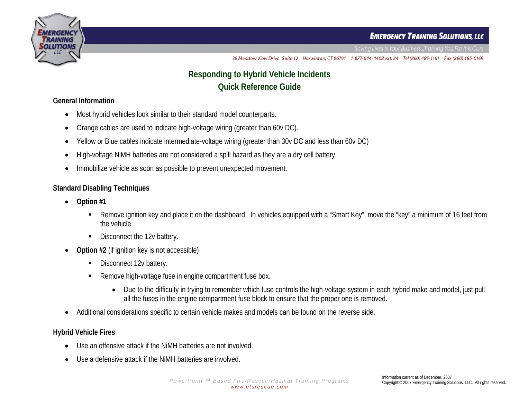



38 Meadow View Drive Suite 12 Harwinton, CT 06791 1-877-644-4408 ext. 84 Tel (860) 485-1161 Fax (860) 485-0169

# **Responding to Hybrid Vehicle Incidents Quick Reference Guide**

#### **General Information**

- •Most hybrid vehicles look similar to their standard model counterparts.
- •Orange cables are used to indicate high-voltage wiring (greater than 60v DC).
- •Yellow or Blue cables indicate intermediate-voltage wiring (greater than 30v DC and less than 60v DC)
- •High-voltage NiMH batteries are not considered a spill hazard as they are a dry cell battery.
- •Immobilize vehicle as soon as possible to prevent unexpected movement.

#### **Standard Disabling Techniques**

- • **Option #1** 
	- Г Remove ignition key and place it on the dashboard. In vehicles equipped with a "Smart Key", move the "key" a minimum of 16 feet from the vehicle.
	- $\blacksquare$ Disconnect the 12v battery.
- • **Option #2** (if ignition key is not accessible)
	- Г Disconnect 12v battery.
	- Г Remove high-voltage fuse in engine compartment fuse box.
		- $\bullet$  Due to the difficulty in trying to remember which fuse controls the high-voltage system in each hybrid make and model, just pull all the fuses in the engine compartment fuse block to ensure that the proper one is removed.
- •Additional considerations specific to certain vehicle makes and models can be found on the reverse side.

### **Hybrid Vehicle Fires**

- •Use an offensive attack if the NiMH batteries are not involved.
- •Use a defensive attack if the NiMH batteries are involved.